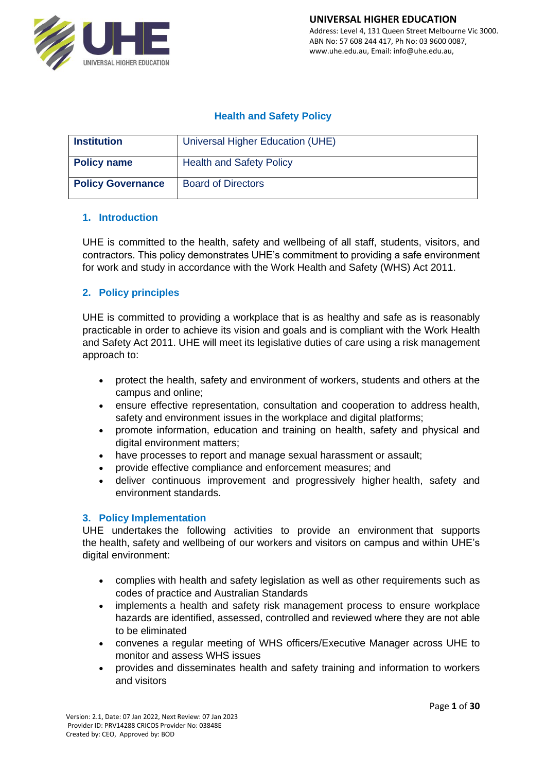

# **Health and Safety Policy**

| <b>Institution</b>       | Universal Higher Education (UHE) |
|--------------------------|----------------------------------|
| <b>Policy name</b>       | <b>Health and Safety Policy</b>  |
| <b>Policy Governance</b> | <b>Board of Directors</b>        |

## **1. Introduction**

UHE is committed to the health, safety and wellbeing of all staff, students, visitors, and contractors. This policy demonstrates UHE's commitment to providing a safe environment for work and study in accordance with the Work Health and Safety (WHS) Act 2011.

# **2. Policy principles**

UHE is committed to providing a workplace that is as healthy and safe as is reasonably practicable in order to achieve its vision and goals and is compliant with the Work Health and Safety Act 2011. UHE will meet its legislative duties of care using a risk management approach to:

- protect the health, safety and environment of workers, students and others at the campus and online;
- ensure effective representation, consultation and cooperation to address health, safety and environment issues in the workplace and digital platforms;
- promote information, education and training on health, safety and physical and digital environment matters;
- have processes to report and manage sexual harassment or assault;
- provide effective compliance and enforcement measures; and
- deliver continuous improvement and progressively higher health, safety and environment standards.

## **3. Policy Implementation**

UHE undertakes the following activities to provide an environment that supports the health, safety and wellbeing of our workers and visitors on campus and within UHE's digital environment:

- complies with health and safety legislation as well as other requirements such as codes of practice and Australian Standards
- implements a health and safety risk management process to ensure workplace hazards are identified, assessed, controlled and reviewed where they are not able to be eliminated
- convenes a regular meeting of WHS officers/Executive Manager across UHE to monitor and assess WHS issues
- provides and disseminates health and safety training and information to workers and visitors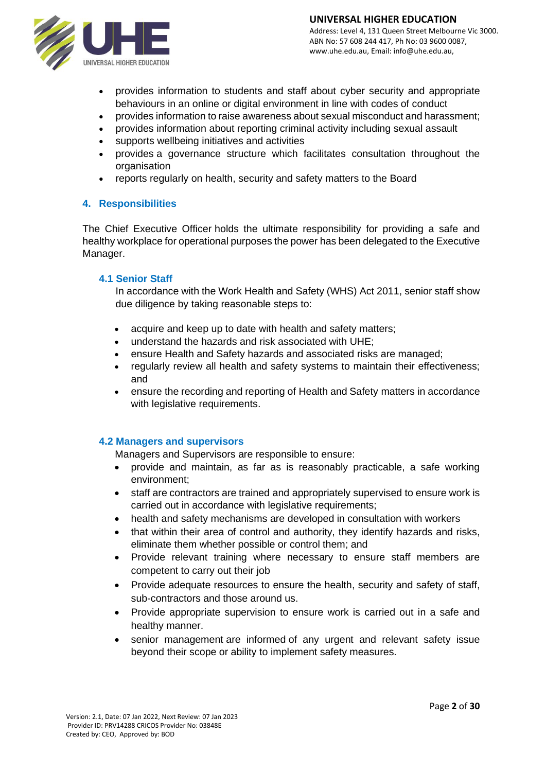

- provides information to students and staff about cyber security and appropriate behaviours in an online or digital environment in line with codes of conduct
- provides information to raise awareness about sexual misconduct and harassment;
- provides information about reporting criminal activity including sexual assault
- supports wellbeing initiatives and activities
- provides a governance structure which facilitates consultation throughout the organisation
- reports regularly on health, security and safety matters to the Board

#### **4. Responsibilities**

The Chief Executive Officer holds the ultimate responsibility for providing a safe and healthy workplace for operational purposes the power has been delegated to the Executive Manager.

#### **4.1 Senior Staff**

In accordance with the Work Health and Safety (WHS) Act 2011, senior staff show due diligence by taking reasonable steps to:

- acquire and keep up to date with health and safety matters:
- understand the hazards and risk associated with UHE;
- ensure Health and Safety hazards and associated risks are managed;
- regularly review all health and safety systems to maintain their effectiveness; and
- ensure the recording and reporting of Health and Safety matters in accordance with legislative requirements.

#### **4.2 Managers and supervisors**

Managers and Supervisors are responsible to ensure:

- provide and maintain, as far as is reasonably practicable, a safe working environment;
- staff are contractors are trained and appropriately supervised to ensure work is carried out in accordance with legislative requirements;
- health and safety mechanisms are developed in consultation with workers
- that within their area of control and authority, they identify hazards and risks, eliminate them whether possible or control them; and
- Provide relevant training where necessary to ensure staff members are competent to carry out their job
- Provide adequate resources to ensure the health, security and safety of staff, sub-contractors and those around us.
- Provide appropriate supervision to ensure work is carried out in a safe and healthy manner.
- senior management are informed of any urgent and relevant safety issue beyond their scope or ability to implement safety measures.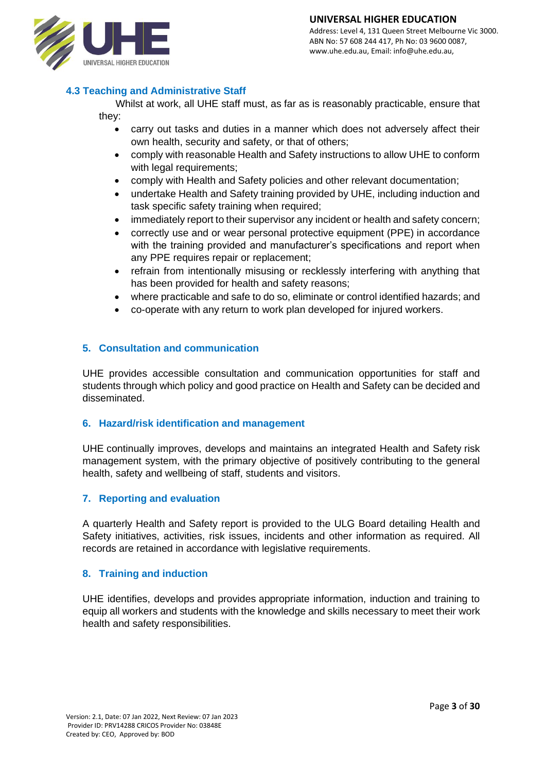

#### **4.3 Teaching and Administrative Staff**

Whilst at work, all UHE staff must, as far as is reasonably practicable, ensure that they:

- carry out tasks and duties in a manner which does not adversely affect their own health, security and safety, or that of others;
- comply with reasonable Health and Safety instructions to allow UHE to conform with legal requirements;
- comply with Health and Safety policies and other relevant documentation;
- undertake Health and Safety training provided by UHE, including induction and task specific safety training when required;
- immediately report to their supervisor any incident or health and safety concern;
- correctly use and or wear personal protective equipment (PPE) in accordance with the training provided and manufacturer's specifications and report when any PPE requires repair or replacement;
- refrain from intentionally misusing or recklessly interfering with anything that has been provided for health and safety reasons;
- where practicable and safe to do so, eliminate or control identified hazards; and
- co-operate with any return to work plan developed for injured workers.

#### **5. Consultation and communication**

UHE provides accessible consultation and communication opportunities for staff and students through which policy and good practice on Health and Safety can be decided and disseminated.

#### **6. Hazard/risk identification and management**

UHE continually improves, develops and maintains an integrated Health and Safety risk management system, with the primary objective of positively contributing to the general health, safety and wellbeing of staff, students and visitors.

#### **7. Reporting and evaluation**

A quarterly Health and Safety report is provided to the ULG Board detailing Health and Safety initiatives, activities, risk issues, incidents and other information as required. All records are retained in accordance with legislative requirements.

#### **8. Training and induction**

UHE identifies, develops and provides appropriate information, induction and training to equip all workers and students with the knowledge and skills necessary to meet their work health and safety responsibilities.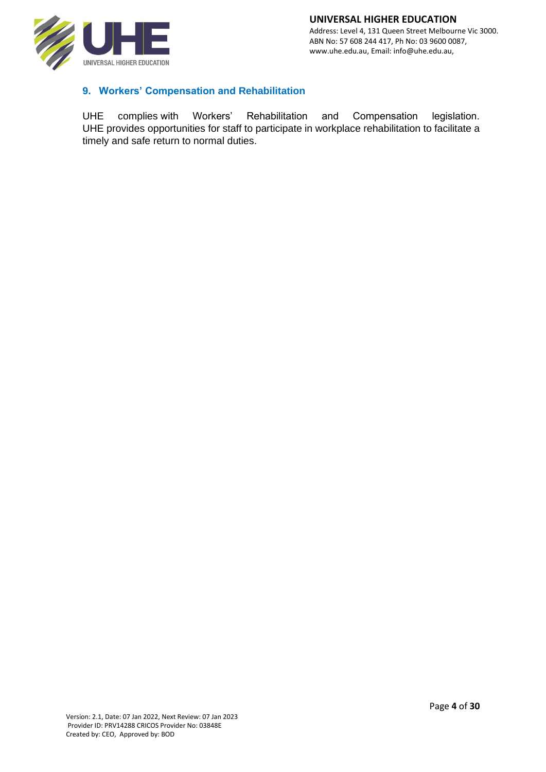

# **9. Workers' Compensation and Rehabilitation**

UHE complies with Workers' Rehabilitation and Compensation legislation. UHE provides opportunities for staff to participate in workplace rehabilitation to facilitate a timely and safe return to normal duties.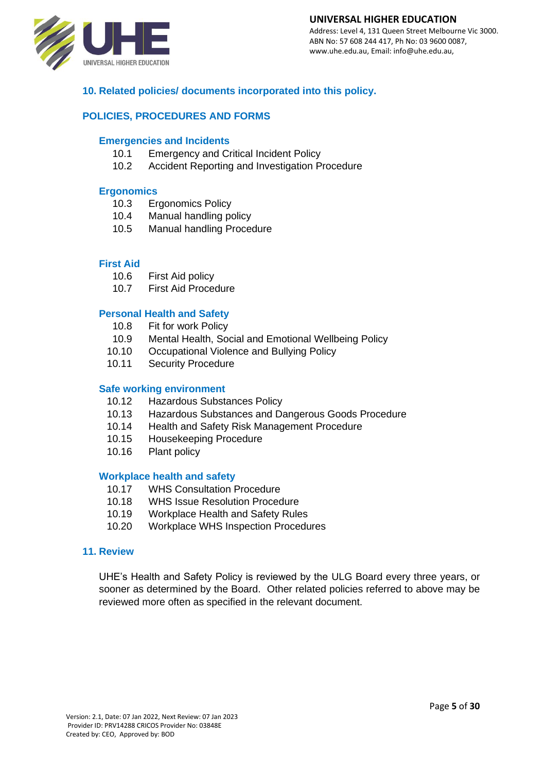

#### **UNIVERSAL HIGHER EDUCATION**

Address: Level 4, 131 Queen Street Melbourne Vic 3000. ABN No: 57 608 244 417, Ph No: 03 9600 0087, www.uhe.edu.au, Email: info@uhe.edu.au,

# **10. Related policies/ documents incorporated into this policy.**

#### **POLICIES, PROCEDURES AND FORMS**

#### **Emergencies and Incidents**

- 10.1 Emergency and Critical Incident Policy
- 10.2 Accident Reporting and Investigation Procedure

#### **Ergonomics**

- 10.3 Ergonomics Policy
- 10.4 Manual handling policy
- 10.5 Manual handling Procedure

#### **First Aid**

- 10.6 First Aid policy
- 10.7 First Aid Procedure

#### **Personal Health and Safety**

- 10.8 Fit for work Policy
- 10.9 Mental Health, Social and Emotional Wellbeing Policy
- 10.10 Occupational Violence and Bullying Policy
- 10.11 Security Procedure

#### **Safe working environment**

- 10.12 Hazardous Substances Policy
- 10.13 Hazardous Substances and Dangerous Goods Procedure
- 10.14 Health and Safety Risk Management Procedure
- 10.15 Housekeeping Procedure
- 10.16 Plant policy

#### **Workplace health and safety**

- 10.17 WHS Consultation Procedure
- 10.18 WHS Issue Resolution Procedure
- 10.19 Workplace Health and Safety Rules
- 10.20 Workplace WHS Inspection Procedures

#### **11. Review**

UHE's Health and Safety Policy is reviewed by the ULG Board every three years, or sooner as determined by the Board. Other related policies referred to above may be reviewed more often as specified in the relevant document.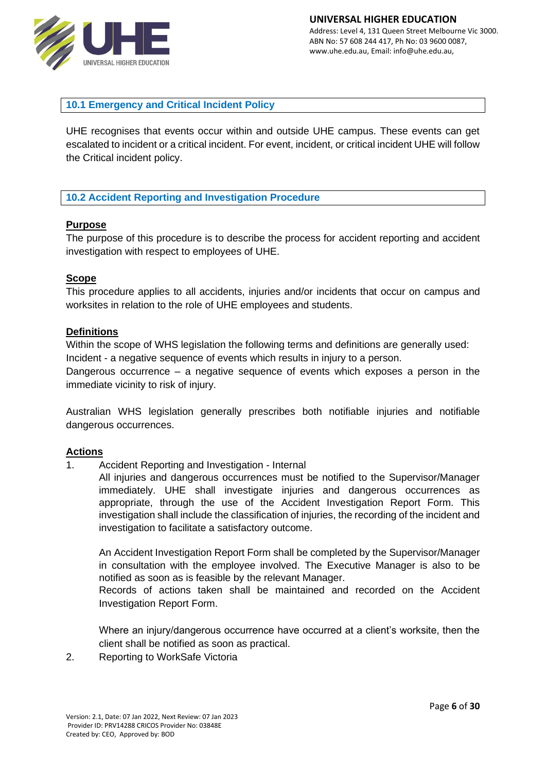

**10.1 Emergency and Critical Incident Policy**

UHE recognises that events occur within and outside UHE campus. These events can get escalated to incident or a critical incident. For event, incident, or critical incident UHE will follow the Critical incident policy.

## **10.2 Accident Reporting and Investigation Procedure**

## **Purpose**

The purpose of this procedure is to describe the process for accident reporting and accident investigation with respect to employees of UHE.

## **Scope**

This procedure applies to all accidents, injuries and/or incidents that occur on campus and worksites in relation to the role of UHE employees and students.

#### **Definitions**

Within the scope of WHS legislation the following terms and definitions are generally used: Incident - a negative sequence of events which results in injury to a person.

Dangerous occurrence – a negative sequence of events which exposes a person in the immediate vicinity to risk of injury.

Australian WHS legislation generally prescribes both notifiable injuries and notifiable dangerous occurrences.

#### **Actions**

- 1. Accident Reporting and Investigation Internal
	- All injuries and dangerous occurrences must be notified to the Supervisor/Manager immediately. UHE shall investigate injuries and dangerous occurrences as appropriate, through the use of the Accident Investigation Report Form. This investigation shall include the classification of injuries, the recording of the incident and investigation to facilitate a satisfactory outcome.

An Accident Investigation Report Form shall be completed by the Supervisor/Manager in consultation with the employee involved. The Executive Manager is also to be notified as soon as is feasible by the relevant Manager.

Records of actions taken shall be maintained and recorded on the Accident Investigation Report Form.

Where an injury/dangerous occurrence have occurred at a client's worksite, then the client shall be notified as soon as practical.

2. Reporting to WorkSafe Victoria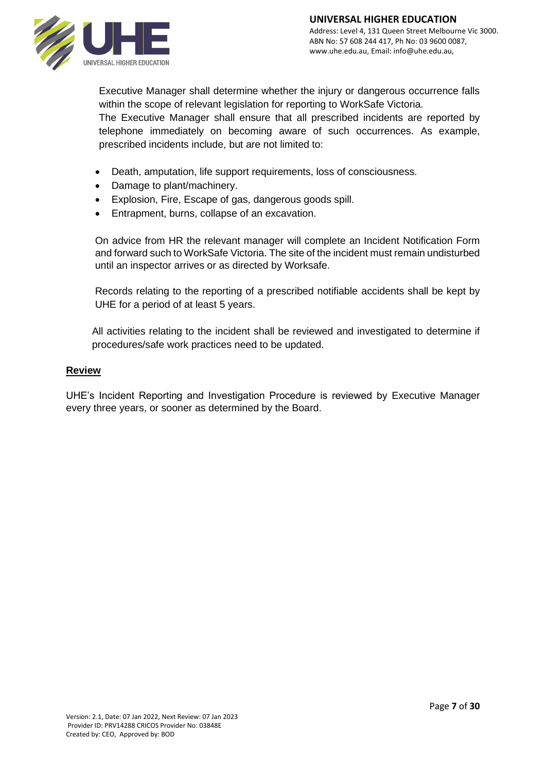

Executive Manager shall determine whether the injury or dangerous occurrence falls within the scope of relevant legislation for reporting to WorkSafe Victoria.

The Executive Manager shall ensure that all prescribed incidents are reported by telephone immediately on becoming aware of such occurrences. As example, prescribed incidents include, but are not limited to:

- Death, amputation, life support requirements, loss of consciousness.
- Damage to plant/machinery.
- Explosion, Fire, Escape of gas, dangerous goods spill.
- Entrapment, burns, collapse of an excavation.

On advice from HR the relevant manager will complete an Incident Notification Form and forward such to WorkSafe Victoria. The site of the incident must remain undisturbed until an inspector arrives or as directed by Worksafe.

Records relating to the reporting of a prescribed notifiable accidents shall be kept by UHE for a period of at least 5 years.

All activities relating to the incident shall be reviewed and investigated to determine if procedures/safe work practices need to be updated.

## **Review**

UHE's Incident Reporting and Investigation Procedure is reviewed by Executive Manager every three years, or sooner as determined by the Board.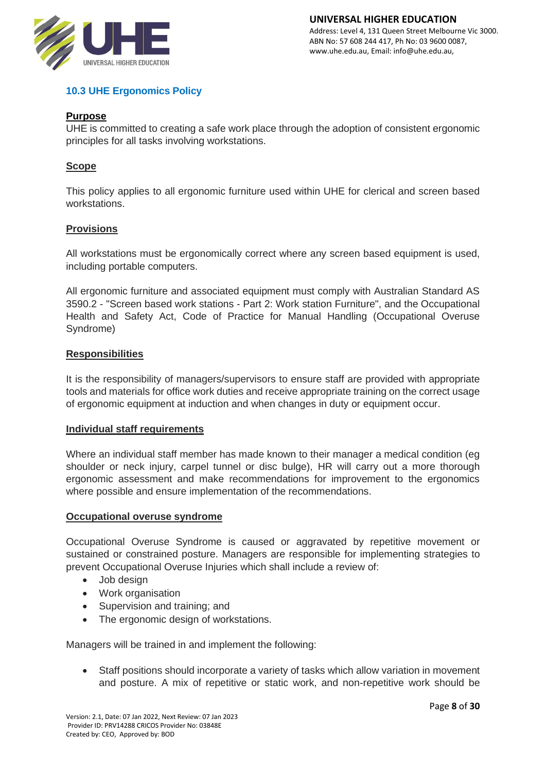

# **10.3 UHE Ergonomics Policy**

#### **Purpose**

UHE is committed to creating a safe work place through the adoption of consistent ergonomic principles for all tasks involving workstations.

# **Scope**

This policy applies to all ergonomic furniture used within UHE for clerical and screen based workstations.

#### **Provisions**

All workstations must be ergonomically correct where any screen based equipment is used, including portable computers.

All ergonomic furniture and associated equipment must comply with Australian Standard AS 3590.2 - "Screen based work stations - Part 2: Work station Furniture", and the Occupational Health and Safety Act, Code of Practice for Manual Handling (Occupational Overuse Syndrome)

#### **Responsibilities**

It is the responsibility of managers/supervisors to ensure staff are provided with appropriate tools and materials for office work duties and receive appropriate training on the correct usage of ergonomic equipment at induction and when changes in duty or equipment occur.

#### **Individual staff requirements**

Where an individual staff member has made known to their manager a medical condition (eg shoulder or neck injury, carpel tunnel or disc bulge), HR will carry out a more thorough ergonomic assessment and make recommendations for improvement to the ergonomics where possible and ensure implementation of the recommendations.

#### **Occupational overuse syndrome**

Occupational Overuse Syndrome is caused or aggravated by repetitive movement or sustained or constrained posture. Managers are responsible for implementing strategies to prevent Occupational Overuse Injuries which shall include a review of:

- Job design
- Work organisation
- Supervision and training; and
- The ergonomic design of workstations.

Managers will be trained in and implement the following:

• Staff positions should incorporate a variety of tasks which allow variation in movement and posture. A mix of repetitive or static work, and non-repetitive work should be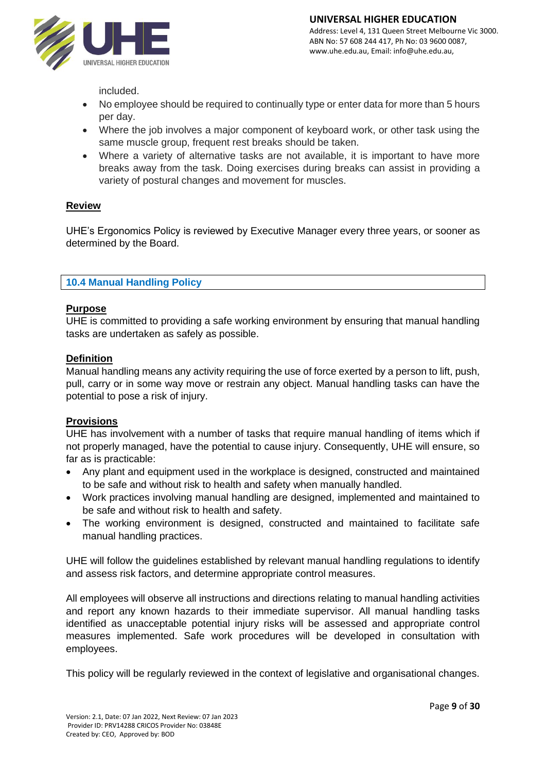

included.

- No employee should be required to continually type or enter data for more than 5 hours per day.
- Where the job involves a major component of keyboard work, or other task using the same muscle group, frequent rest breaks should be taken.
- Where a variety of alternative tasks are not available, it is important to have more breaks away from the task. Doing exercises during breaks can assist in providing a variety of postural changes and movement for muscles.

## **Review**

UHE's Ergonomics Policy is reviewed by Executive Manager every three years, or sooner as determined by the Board.

# **10.4 Manual Handling Policy**

#### **Purpose**

UHE is committed to providing a safe working environment by ensuring that manual handling tasks are undertaken as safely as possible.

#### **Definition**

Manual handling means any activity requiring the use of force exerted by a person to lift, push, pull, carry or in some way move or restrain any object. Manual handling tasks can have the potential to pose a risk of injury.

## **Provisions**

UHE has involvement with a number of tasks that require manual handling of items which if not properly managed, have the potential to cause injury. Consequently, UHE will ensure, so far as is practicable:

- Any plant and equipment used in the workplace is designed, constructed and maintained to be safe and without risk to health and safety when manually handled.
- Work practices involving manual handling are designed, implemented and maintained to be safe and without risk to health and safety.
- The working environment is designed, constructed and maintained to facilitate safe manual handling practices.

UHE will follow the guidelines established by relevant manual handling regulations to identify and assess risk factors, and determine appropriate control measures.

All employees will observe all instructions and directions relating to manual handling activities and report any known hazards to their immediate supervisor. All manual handling tasks identified as unacceptable potential injury risks will be assessed and appropriate control measures implemented. Safe work procedures will be developed in consultation with employees.

This policy will be regularly reviewed in the context of legislative and organisational changes.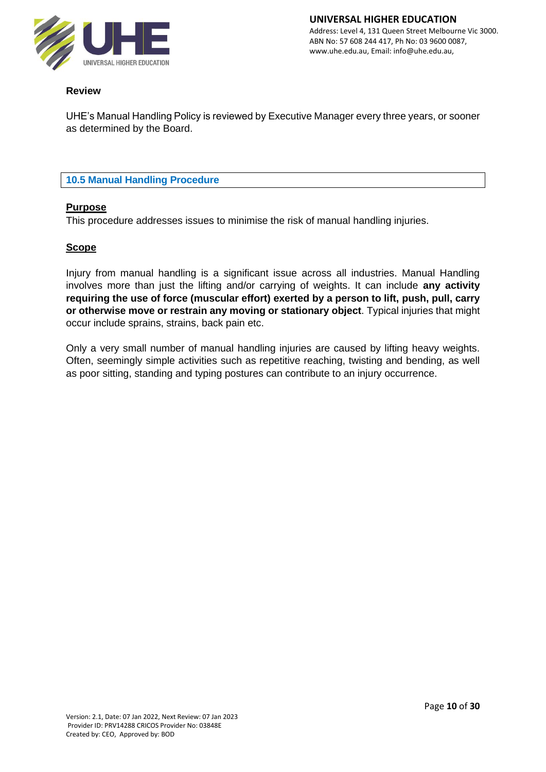

# **Review**

UHE's Manual Handling Policy is reviewed by Executive Manager every three years, or sooner as determined by the Board.

# **10.5 Manual Handling Procedure**

## **Purpose**

This procedure addresses issues to minimise the risk of manual handling injuries.

## **Scope**

Injury from manual handling is a significant issue across all industries. Manual Handling involves more than just the lifting and/or carrying of weights. It can include **any activity requiring the use of force (muscular effort) exerted by a person to lift, push, pull, carry or otherwise move or restrain any moving or stationary object**. Typical injuries that might occur include sprains, strains, back pain etc.

Only a very small number of manual handling injuries are caused by lifting heavy weights. Often, seemingly simple activities such as repetitive reaching, twisting and bending, as well as poor sitting, standing and typing postures can contribute to an injury occurrence.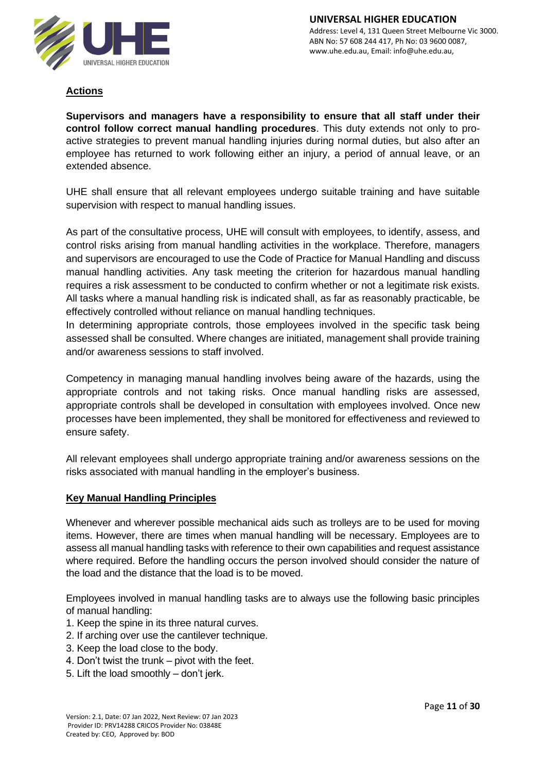

# **Actions**

**Supervisors and managers have a responsibility to ensure that all staff under their control follow correct manual handling procedures**. This duty extends not only to proactive strategies to prevent manual handling injuries during normal duties, but also after an employee has returned to work following either an injury, a period of annual leave, or an extended absence.

UHE shall ensure that all relevant employees undergo suitable training and have suitable supervision with respect to manual handling issues.

As part of the consultative process, UHE will consult with employees, to identify, assess, and control risks arising from manual handling activities in the workplace. Therefore, managers and supervisors are encouraged to use the Code of Practice for Manual Handling and discuss manual handling activities. Any task meeting the criterion for hazardous manual handling requires a risk assessment to be conducted to confirm whether or not a legitimate risk exists. All tasks where a manual handling risk is indicated shall, as far as reasonably practicable, be effectively controlled without reliance on manual handling techniques.

In determining appropriate controls, those employees involved in the specific task being assessed shall be consulted. Where changes are initiated, management shall provide training and/or awareness sessions to staff involved.

Competency in managing manual handling involves being aware of the hazards, using the appropriate controls and not taking risks. Once manual handling risks are assessed, appropriate controls shall be developed in consultation with employees involved. Once new processes have been implemented, they shall be monitored for effectiveness and reviewed to ensure safety.

All relevant employees shall undergo appropriate training and/or awareness sessions on the risks associated with manual handling in the employer's business.

## **Key Manual Handling Principles**

Whenever and wherever possible mechanical aids such as trolleys are to be used for moving items. However, there are times when manual handling will be necessary. Employees are to assess all manual handling tasks with reference to their own capabilities and request assistance where required. Before the handling occurs the person involved should consider the nature of the load and the distance that the load is to be moved.

Employees involved in manual handling tasks are to always use the following basic principles of manual handling:

- 1. Keep the spine in its three natural curves.
- 2. If arching over use the cantilever technique.
- 3. Keep the load close to the body.
- 4. Don't twist the trunk pivot with the feet.
- 5. Lift the load smoothly don't jerk.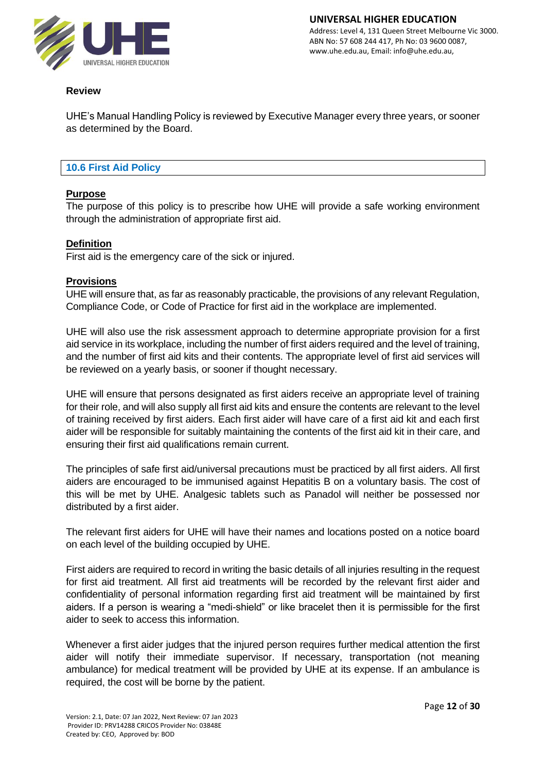

# **Review**

UHE's Manual Handling Policy is reviewed by Executive Manager every three years, or sooner as determined by the Board.

#### **10.6 First Aid Policy**

## **Purpose**

The purpose of this policy is to prescribe how UHE will provide a safe working environment through the administration of appropriate first aid.

#### **Definition**

First aid is the emergency care of the sick or injured.

#### **Provisions**

UHE will ensure that, as far as reasonably practicable, the provisions of any relevant Regulation, Compliance Code, or Code of Practice for first aid in the workplace are implemented.

UHE will also use the risk assessment approach to determine appropriate provision for a first aid service in its workplace, including the number of first aiders required and the level of training, and the number of first aid kits and their contents. The appropriate level of first aid services will be reviewed on a yearly basis, or sooner if thought necessary.

UHE will ensure that persons designated as first aiders receive an appropriate level of training for their role, and will also supply all first aid kits and ensure the contents are relevant to the level of training received by first aiders. Each first aider will have care of a first aid kit and each first aider will be responsible for suitably maintaining the contents of the first aid kit in their care, and ensuring their first aid qualifications remain current.

The principles of safe first aid/universal precautions must be practiced by all first aiders. All first aiders are encouraged to be immunised against Hepatitis B on a voluntary basis. The cost of this will be met by UHE. Analgesic tablets such as Panadol will neither be possessed nor distributed by a first aider.

The relevant first aiders for UHE will have their names and locations posted on a notice board on each level of the building occupied by UHE.

First aiders are required to record in writing the basic details of all injuries resulting in the request for first aid treatment. All first aid treatments will be recorded by the relevant first aider and confidentiality of personal information regarding first aid treatment will be maintained by first aiders. If a person is wearing a "medi-shield" or like bracelet then it is permissible for the first aider to seek to access this information.

Whenever a first aider judges that the injured person requires further medical attention the first aider will notify their immediate supervisor. If necessary, transportation (not meaning ambulance) for medical treatment will be provided by UHE at its expense. If an ambulance is required, the cost will be borne by the patient.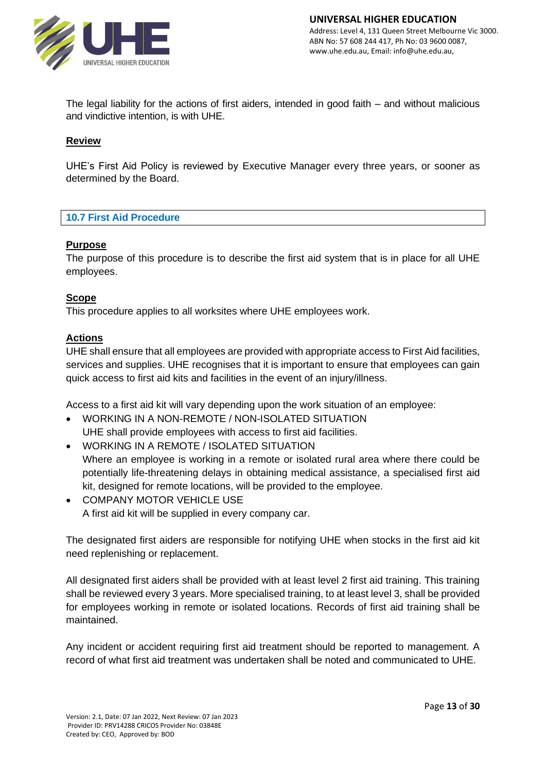

The legal liability for the actions of first aiders, intended in good faith – and without malicious and vindictive intention, is with UHE.

#### **Review**

UHE's First Aid Policy is reviewed by Executive Manager every three years, or sooner as determined by the Board.

#### **10.7 First Aid Procedure**

#### **Purpose**

The purpose of this procedure is to describe the first aid system that is in place for all UHE employees.

#### **Scope**

This procedure applies to all worksites where UHE employees work.

## **Actions**

UHE shall ensure that all employees are provided with appropriate access to First Aid facilities, services and supplies. UHE recognises that it is important to ensure that employees can gain quick access to first aid kits and facilities in the event of an injury/illness.

Access to a first aid kit will vary depending upon the work situation of an employee:

- WORKING IN A NON-REMOTE / NON-ISOLATED SITUATION UHE shall provide employees with access to first aid facilities.
- WORKING IN A REMOTE / ISOLATED SITUATION Where an employee is working in a remote or isolated rural area where there could be potentially life-threatening delays in obtaining medical assistance, a specialised first aid kit, designed for remote locations, will be provided to the employee.
- COMPANY MOTOR VEHICLE USE A first aid kit will be supplied in every company car.

The designated first aiders are responsible for notifying UHE when stocks in the first aid kit need replenishing or replacement.

All designated first aiders shall be provided with at least level 2 first aid training. This training shall be reviewed every 3 years. More specialised training, to at least level 3, shall be provided for employees working in remote or isolated locations. Records of first aid training shall be maintained.

Any incident or accident requiring first aid treatment should be reported to management. A record of what first aid treatment was undertaken shall be noted and communicated to UHE.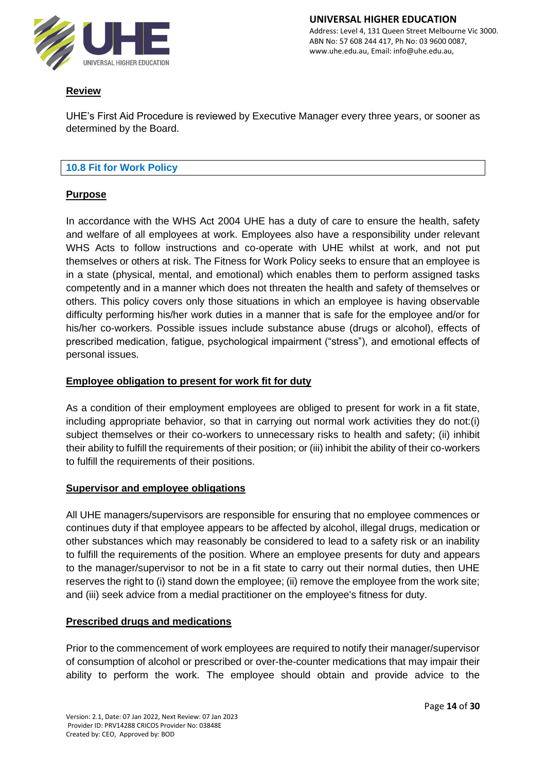

# **Review**

UHE's First Aid Procedure is reviewed by Executive Manager every three years, or sooner as determined by the Board.

# **10.8 Fit for Work Policy**

# **Purpose**

In accordance with the WHS Act 2004 UHE has a duty of care to ensure the health, safety and welfare of all employees at work. Employees also have a responsibility under relevant WHS Acts to follow instructions and co-operate with UHE whilst at work, and not put themselves or others at risk. The Fitness for Work Policy seeks to ensure that an employee is in a state (physical, mental, and emotional) which enables them to perform assigned tasks competently and in a manner which does not threaten the health and safety of themselves or others. This policy covers only those situations in which an employee is having observable difficulty performing his/her work duties in a manner that is safe for the employee and/or for his/her co-workers. Possible issues include substance abuse (drugs or alcohol), effects of prescribed medication, fatigue, psychological impairment ("stress"), and emotional effects of personal issues.

# **Employee obligation to present for work fit for duty**

As a condition of their employment employees are obliged to present for work in a fit state, including appropriate behavior, so that in carrying out normal work activities they do not:(i) subject themselves or their co-workers to unnecessary risks to health and safety; (ii) inhibit their ability to fulfill the requirements of their position; or (iii) inhibit the ability of their co-workers to fulfill the requirements of their positions.

## **Supervisor and employee obligations**

All UHE managers/supervisors are responsible for ensuring that no employee commences or continues duty if that employee appears to be affected by alcohol, illegal drugs, medication or other substances which may reasonably be considered to lead to a safety risk or an inability to fulfill the requirements of the position. Where an employee presents for duty and appears to the manager/supervisor to not be in a fit state to carry out their normal duties, then UHE reserves the right to (i) stand down the employee; (ii) remove the employee from the work site; and (iii) seek advice from a medial practitioner on the employee's fitness for duty.

# **Prescribed drugs and medications**

Prior to the commencement of work employees are required to notify their manager/supervisor of consumption of alcohol or prescribed or over-the-counter medications that may impair their ability to perform the work. The employee should obtain and provide advice to the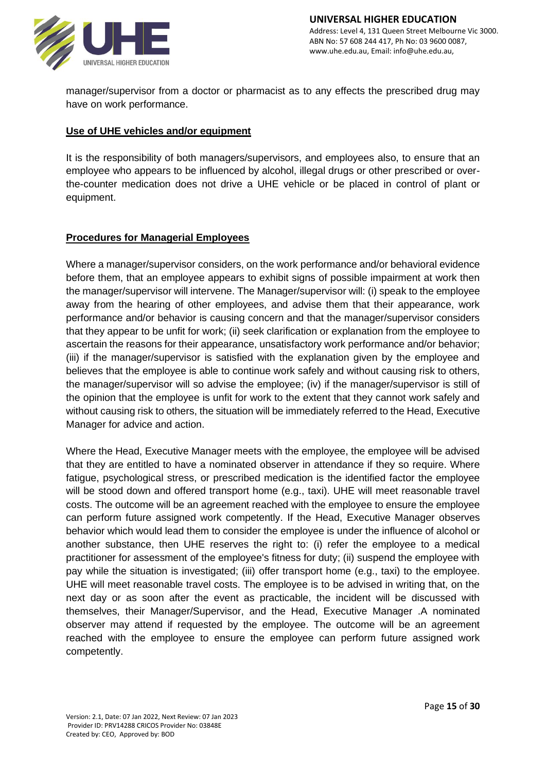

manager/supervisor from a doctor or pharmacist as to any effects the prescribed drug may have on work performance.

# **Use of UHE vehicles and/or equipment**

It is the responsibility of both managers/supervisors, and employees also, to ensure that an employee who appears to be influenced by alcohol, illegal drugs or other prescribed or overthe-counter medication does not drive a UHE vehicle or be placed in control of plant or equipment.

## **Procedures for Managerial Employees**

Where a manager/supervisor considers, on the work performance and/or behavioral evidence before them, that an employee appears to exhibit signs of possible impairment at work then the manager/supervisor will intervene. The Manager/supervisor will: (i) speak to the employee away from the hearing of other employees, and advise them that their appearance, work performance and/or behavior is causing concern and that the manager/supervisor considers that they appear to be unfit for work; (ii) seek clarification or explanation from the employee to ascertain the reasons for their appearance, unsatisfactory work performance and/or behavior; (iii) if the manager/supervisor is satisfied with the explanation given by the employee and believes that the employee is able to continue work safely and without causing risk to others, the manager/supervisor will so advise the employee; (iv) if the manager/supervisor is still of the opinion that the employee is unfit for work to the extent that they cannot work safely and without causing risk to others, the situation will be immediately referred to the Head, Executive Manager for advice and action.

Where the Head, Executive Manager meets with the employee, the employee will be advised that they are entitled to have a nominated observer in attendance if they so require. Where fatigue, psychological stress, or prescribed medication is the identified factor the employee will be stood down and offered transport home (e.g., taxi). UHE will meet reasonable travel costs. The outcome will be an agreement reached with the employee to ensure the employee can perform future assigned work competently. If the Head, Executive Manager observes behavior which would lead them to consider the employee is under the influence of alcohol or another substance, then UHE reserves the right to: (i) refer the employee to a medical practitioner for assessment of the employee's fitness for duty; (ii) suspend the employee with pay while the situation is investigated; (iii) offer transport home (e.g., taxi) to the employee. UHE will meet reasonable travel costs. The employee is to be advised in writing that, on the next day or as soon after the event as practicable, the incident will be discussed with themselves, their Manager/Supervisor, and the Head, Executive Manager .A nominated observer may attend if requested by the employee. The outcome will be an agreement reached with the employee to ensure the employee can perform future assigned work competently.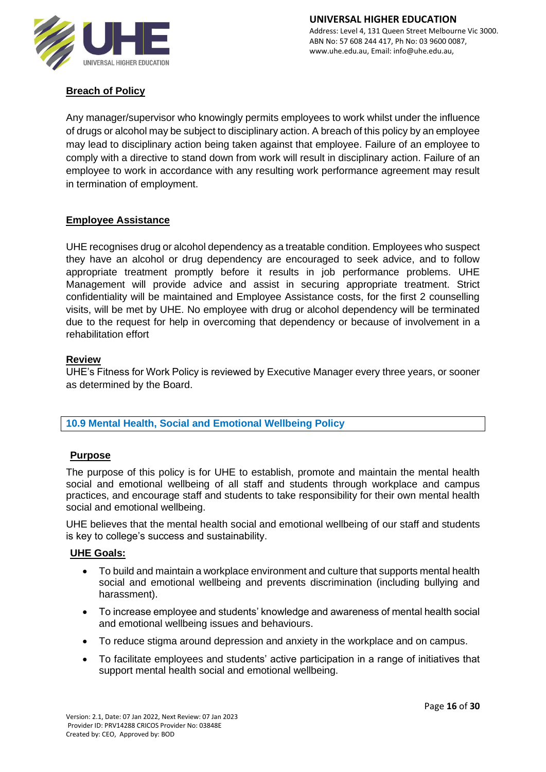

# **Breach of Policy**

Any manager/supervisor who knowingly permits employees to work whilst under the influence of drugs or alcohol may be subject to disciplinary action. A breach of this policy by an employee may lead to disciplinary action being taken against that employee. Failure of an employee to comply with a directive to stand down from work will result in disciplinary action. Failure of an employee to work in accordance with any resulting work performance agreement may result in termination of employment.

# **Employee Assistance**

UHE recognises drug or alcohol dependency as a treatable condition. Employees who suspect they have an alcohol or drug dependency are encouraged to seek advice, and to follow appropriate treatment promptly before it results in job performance problems. UHE Management will provide advice and assist in securing appropriate treatment. Strict confidentiality will be maintained and Employee Assistance costs, for the first 2 counselling visits, will be met by UHE. No employee with drug or alcohol dependency will be terminated due to the request for help in overcoming that dependency or because of involvement in a rehabilitation effort

## **Review**

UHE's Fitness for Work Policy is reviewed by Executive Manager every three years, or sooner as determined by the Board.

## **10.9 Mental Health, Social and Emotional Wellbeing Policy**

## **Purpose**

The purpose of this policy is for UHE to establish, promote and maintain the mental health social and emotional wellbeing of all staff and students through workplace and campus practices, and encourage staff and students to take responsibility for their own mental health social and emotional wellbeing.

UHE believes that the mental health social and emotional wellbeing of our staff and students is key to college's success and sustainability.

## **UHE Goals:**

- To build and maintain a workplace environment and culture that supports mental health social and emotional wellbeing and prevents discrimination (including bullying and harassment).
- To increase employee and students' knowledge and awareness of mental health social and emotional wellbeing issues and behaviours.
- To reduce stigma around depression and anxiety in the workplace and on campus.
- To facilitate employees and students' active participation in a range of initiatives that support mental health social and emotional wellbeing.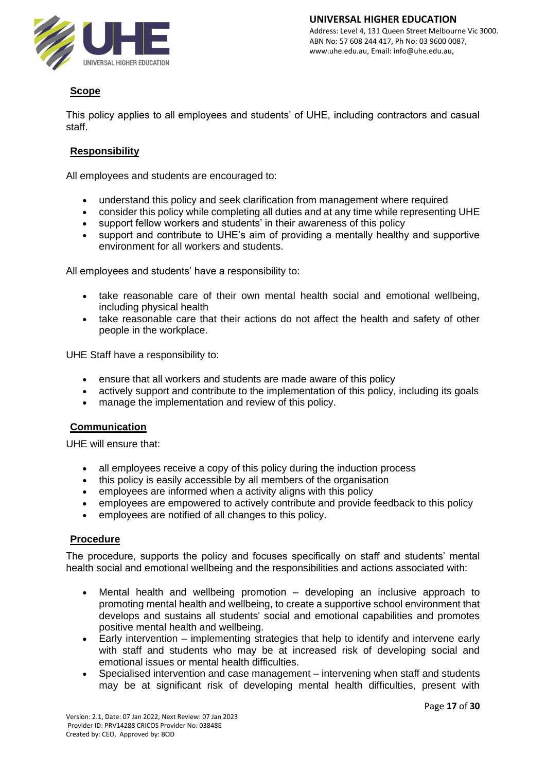

# **Scope**

This policy applies to all employees and students' of UHE, including contractors and casual staff.

# **Responsibility**

All employees and students are encouraged to:

- understand this policy and seek clarification from management where required
- consider this policy while completing all duties and at any time while representing UHE
- support fellow workers and students' in their awareness of this policy
- support and contribute to UHE's aim of providing a mentally healthy and supportive environment for all workers and students.

All employees and students' have a responsibility to:

- take reasonable care of their own mental health social and emotional wellbeing, including physical health
- take reasonable care that their actions do not affect the health and safety of other people in the workplace.

UHE Staff have a responsibility to:

- ensure that all workers and students are made aware of this policy
- actively support and contribute to the implementation of this policy, including its goals
- manage the implementation and review of this policy.

## **Communication**

UHE will ensure that:

- all employees receive a copy of this policy during the induction process
- this policy is easily accessible by all members of the organisation
- employees are informed when a activity aligns with this policy
- employees are empowered to actively contribute and provide feedback to this policy
- employees are notified of all changes to this policy.

## **Procedure**

The procedure, supports the policy and focuses specifically on staff and students' mental health social and emotional wellbeing and the responsibilities and actions associated with:

- Mental health and wellbeing promotion developing an inclusive approach to promoting mental health and wellbeing, to create a supportive school environment that develops and sustains all students' social and emotional capabilities and promotes positive mental health and wellbeing.
- Early intervention implementing strategies that help to identify and intervene early with staff and students who may be at increased risk of developing social and emotional issues or mental health difficulties.
- Specialised intervention and case management intervening when staff and students may be at significant risk of developing mental health difficulties, present with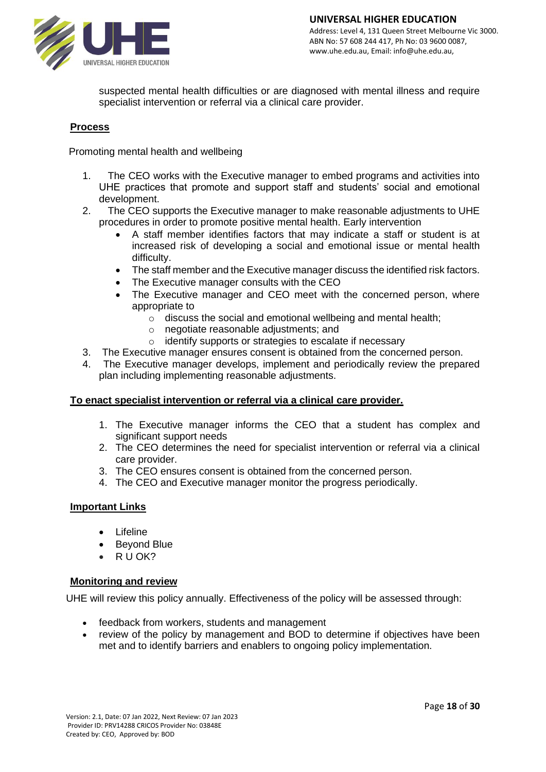

suspected mental health difficulties or are diagnosed with mental illness and require specialist intervention or referral via a clinical care provider.

#### **Process**

Promoting mental health and wellbeing

- 1. The CEO works with the Executive manager to embed programs and activities into UHE practices that promote and support staff and students' social and emotional development.
- 2. The CEO supports the Executive manager to make reasonable adjustments to UHE procedures in order to promote positive mental health. Early intervention
	- A staff member identifies factors that may indicate a staff or student is at increased risk of developing a social and emotional issue or mental health difficulty.
	- The staff member and the Executive manager discuss the identified risk factors.
	- The Executive manager consults with the CEO
	- The Executive manager and CEO meet with the concerned person, where appropriate to
		- o discuss the social and emotional wellbeing and mental health;
		- o negotiate reasonable adjustments; and
		- o identify supports or strategies to escalate if necessary
- 3. The Executive manager ensures consent is obtained from the concerned person.
- 4. The Executive manager develops, implement and periodically review the prepared plan including implementing reasonable adjustments.

#### **To enact specialist intervention or referral via a clinical care provider.**

- 1. The Executive manager informs the CEO that a student has complex and significant support needs
- 2. The CEO determines the need for specialist intervention or referral via a clinical care provider.
- 3. The CEO ensures consent is obtained from the concerned person.
- 4. The CEO and Executive manager monitor the progress periodically.

#### **Important Links**

- **[Lifeline](https://www.lifeline.org.au/)**
- [Beyond Blue](https://www.beyondblue.org.au/)
- [R U OK?](https://www.ruok.org.au/)

#### **Monitoring and review**

UHE will review this policy annually. Effectiveness of the policy will be assessed through:

- feedback from workers, students and management
- review of the policy by management and BOD to determine if objectives have been met and to identify barriers and enablers to ongoing policy implementation.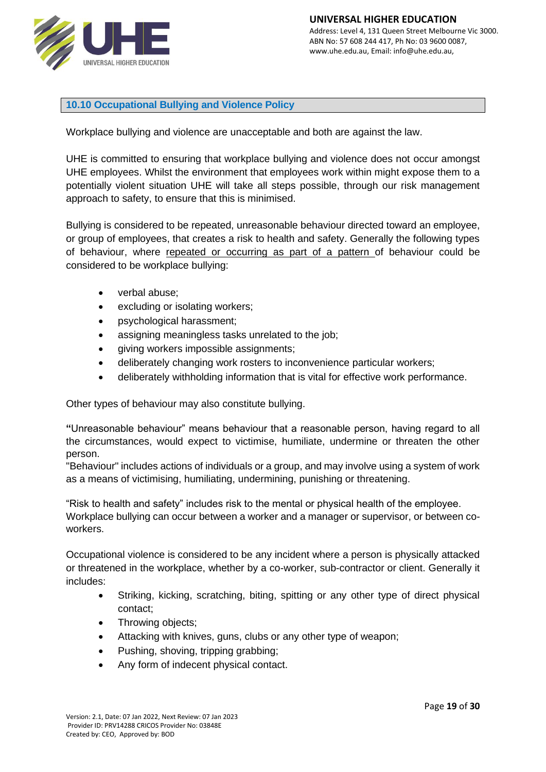

**10.10 Occupational Bullying and Violence Policy**

Workplace bullying and violence are unacceptable and both are against the law.

UHE is committed to ensuring that workplace bullying and violence does not occur amongst UHE employees. Whilst the environment that employees work within might expose them to a potentially violent situation UHE will take all steps possible, through our risk management approach to safety, to ensure that this is minimised.

Bullying is considered to be repeated, unreasonable behaviour directed toward an employee, or group of employees, that creates a risk to health and safety. Generally the following types of behaviour, where repeated or occurring as part of a pattern of behaviour could be considered to be workplace bullying:

- verbal abuse;
- excluding or isolating workers:
- psychological harassment;
- assigning meaningless tasks unrelated to the job;
- giving workers impossible assignments;
- deliberately changing work rosters to inconvenience particular workers;
- deliberately withholding information that is vital for effective work performance.

Other types of behaviour may also constitute bullying.

**"**Unreasonable behaviour" means behaviour that a reasonable person, having regard to all the circumstances, would expect to victimise, humiliate, undermine or threaten the other person.

"Behaviour" includes actions of individuals or a group, and may involve using a system of work as a means of victimising, humiliating, undermining, punishing or threatening.

"Risk to health and safety" includes risk to the mental or physical health of the employee. Workplace bullying can occur between a worker and a manager or supervisor, or between coworkers.

Occupational violence is considered to be any incident where a person is physically attacked or threatened in the workplace, whether by a co-worker, sub-contractor or client. Generally it includes:

- Striking, kicking, scratching, biting, spitting or any other type of direct physical contact;
- Throwing objects;
- Attacking with knives, guns, clubs or any other type of weapon;
- Pushing, shoving, tripping grabbing;
- Any form of indecent physical contact.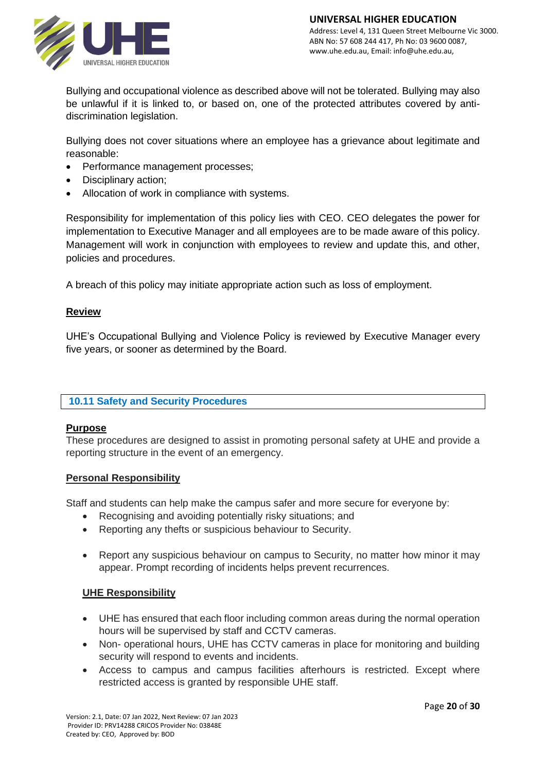

Bullying and occupational violence as described above will not be tolerated. Bullying may also be unlawful if it is linked to, or based on, one of the protected attributes covered by antidiscrimination legislation.

Bullying does not cover situations where an employee has a grievance about legitimate and reasonable:

- Performance management processes;
- Disciplinary action;
- Allocation of work in compliance with systems.

Responsibility for implementation of this policy lies with CEO. CEO delegates the power for implementation to Executive Manager and all employees are to be made aware of this policy. Management will work in conjunction with employees to review and update this, and other, policies and procedures.

A breach of this policy may initiate appropriate action such as loss of employment.

# **Review**

UHE's Occupational Bullying and Violence Policy is reviewed by Executive Manager every five years, or sooner as determined by the Board.

# **10.11 Safety and Security Procedures**

## **Purpose**

These procedures are designed to assist in promoting personal safety at UHE and provide a reporting structure in the event of an emergency.

## **Personal Responsibility**

Staff and students can help make the campus safer and more secure for everyone by:

- Recognising and avoiding potentially risky situations; and
- Reporting any thefts or suspicious behaviour to Security.
- Report any suspicious behaviour on campus to Security, no matter how minor it may appear. Prompt recording of incidents helps prevent recurrences.

## **UHE Responsibility**

- UHE has ensured that each floor including common areas during the normal operation hours will be supervised by staff and CCTV cameras.
- Non- operational hours, UHE has CCTV cameras in place for monitoring and building security will respond to events and incidents.
- Access to campus and campus facilities afterhours is restricted. Except where restricted access is granted by responsible UHE staff.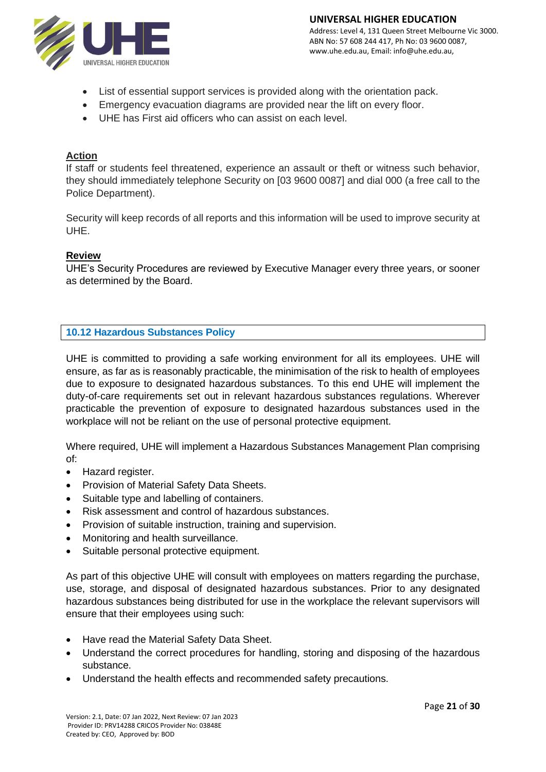

- List of essential support services is provided along with the orientation pack.
- Emergency evacuation diagrams are provided near the lift on every floor.
- UHE has First aid officers who can assist on each level.

# **Action**

If staff or students feel threatened, experience an assault or theft or witness such behavior, they should immediately telephone Security on [03 9600 0087] and dial 000 (a free call to the Police Department).

Security will keep records of all reports and this information will be used to improve security at UHE.

## **Review**

UHE's Security Procedures are reviewed by Executive Manager every three years, or sooner as determined by the Board.

# **10.12 Hazardous Substances Policy**

UHE is committed to providing a safe working environment for all its employees. UHE will ensure, as far as is reasonably practicable, the minimisation of the risk to health of employees due to exposure to designated hazardous substances. To this end UHE will implement the duty-of-care requirements set out in relevant hazardous substances regulations. Wherever practicable the prevention of exposure to designated hazardous substances used in the workplace will not be reliant on the use of personal protective equipment.

Where required, UHE will implement a Hazardous Substances Management Plan comprising of:

- Hazard register.
- Provision of Material Safety Data Sheets.
- Suitable type and labelling of containers.
- Risk assessment and control of hazardous substances.
- Provision of suitable instruction, training and supervision.
- Monitoring and health surveillance.
- Suitable personal protective equipment.

As part of this objective UHE will consult with employees on matters regarding the purchase, use, storage, and disposal of designated hazardous substances. Prior to any designated hazardous substances being distributed for use in the workplace the relevant supervisors will ensure that their employees using such:

- Have read the Material Safety Data Sheet.
- Understand the correct procedures for handling, storing and disposing of the hazardous substance.
- Understand the health effects and recommended safety precautions.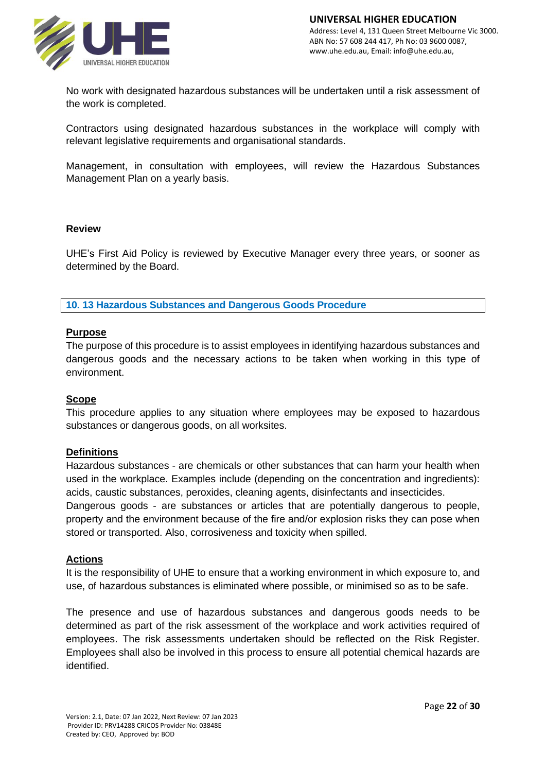

No work with designated hazardous substances will be undertaken until a risk assessment of the work is completed.

Contractors using designated hazardous substances in the workplace will comply with relevant legislative requirements and organisational standards.

Management, in consultation with employees, will review the Hazardous Substances Management Plan on a yearly basis.

#### **Review**

UHE's First Aid Policy is reviewed by Executive Manager every three years, or sooner as determined by the Board.

**10. 13 Hazardous Substances and Dangerous Goods Procedure**

#### **Purpose**

The purpose of this procedure is to assist employees in identifying hazardous substances and dangerous goods and the necessary actions to be taken when working in this type of environment.

#### **Scope**

This procedure applies to any situation where employees may be exposed to hazardous substances or dangerous goods, on all worksites.

#### **Definitions**

Hazardous substances - are chemicals or other substances that can harm your health when used in the workplace. Examples include (depending on the concentration and ingredients): acids, caustic substances, peroxides, cleaning agents, disinfectants and insecticides.

Dangerous goods - are substances or articles that are potentially dangerous to people, property and the environment because of the fire and/or explosion risks they can pose when stored or transported. Also, corrosiveness and toxicity when spilled.

#### **Actions**

It is the responsibility of UHE to ensure that a working environment in which exposure to, and use, of hazardous substances is eliminated where possible, or minimised so as to be safe.

The presence and use of hazardous substances and dangerous goods needs to be determined as part of the risk assessment of the workplace and work activities required of employees. The risk assessments undertaken should be reflected on the Risk Register. Employees shall also be involved in this process to ensure all potential chemical hazards are identified.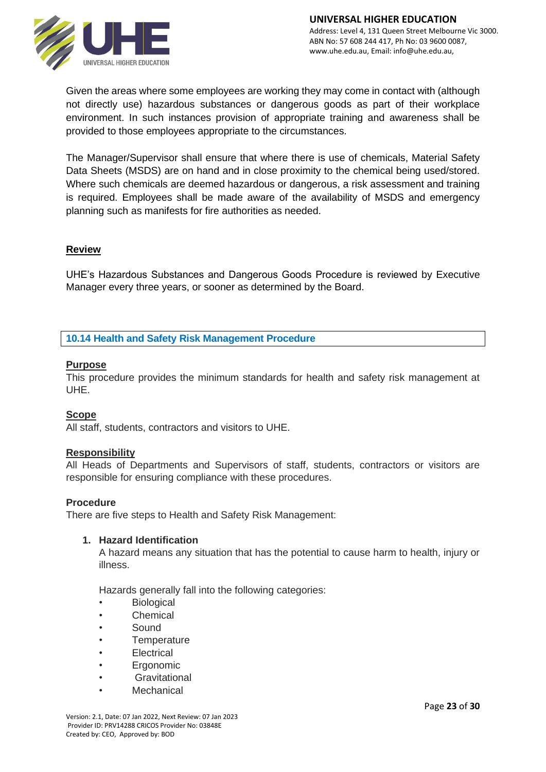

Given the areas where some employees are working they may come in contact with (although not directly use) hazardous substances or dangerous goods as part of their workplace environment. In such instances provision of appropriate training and awareness shall be provided to those employees appropriate to the circumstances.

The Manager/Supervisor shall ensure that where there is use of chemicals, Material Safety Data Sheets (MSDS) are on hand and in close proximity to the chemical being used/stored. Where such chemicals are deemed hazardous or dangerous, a risk assessment and training is required. Employees shall be made aware of the availability of MSDS and emergency planning such as manifests for fire authorities as needed.

## **Review**

UHE's Hazardous Substances and Dangerous Goods Procedure is reviewed by Executive Manager every three years, or sooner as determined by the Board.

## **10.14 Health and Safety Risk Management Procedure**

#### **Purpose**

This procedure provides the minimum standards for health and safety risk management at UHE.

#### **Scope**

All staff, students, contractors and visitors to UHE.

#### **Responsibility**

All Heads of Departments and Supervisors of staff, students, contractors or visitors are responsible for ensuring compliance with these procedures.

#### **Procedure**

There are five steps to Health and Safety Risk Management:

#### **1. Hazard Identification**

A hazard means any situation that has the potential to cause harm to health, injury or illness.

Hazards generally fall into the following categories:

- **Biological**
- **Chemical**
- Sound
- **Temperature**
- **Electrical**
- **Ergonomic**
- **Gravitational**
- **Mechanical**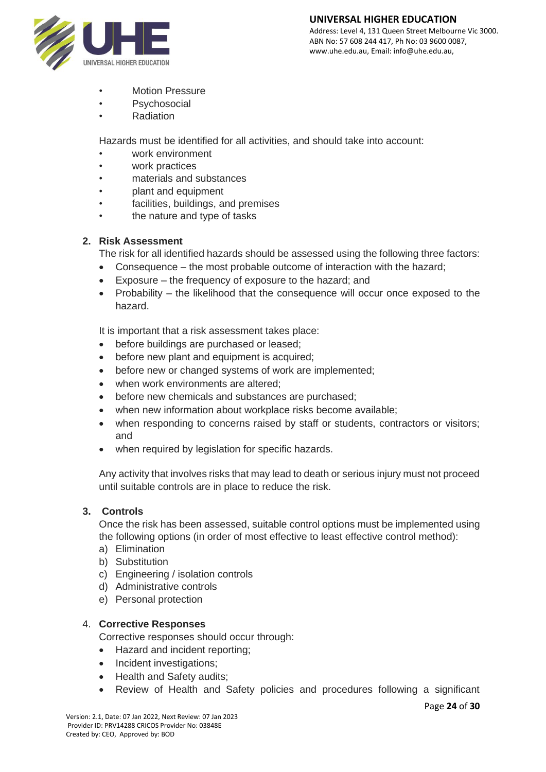#### **UNIVERSAL HIGHER EDUCATION**



Address: Level 4, 131 Queen Street Melbourne Vic 3000. ABN No: 57 608 244 417, Ph No: 03 9600 0087, www.uhe.edu.au, Email: info@uhe.edu.au,

- Motion Pressure
- **Psychosocial**
- Radiation

Hazards must be identified for all activities, and should take into account:

- work environment
- work practices
- materials and substances
- plant and equipment
- facilities, buildings, and premises
- the nature and type of tasks

# **2. Risk Assessment**

The risk for all identified hazards should be assessed using the following three factors:

- Consequence the most probable outcome of interaction with the hazard;
- Exposure the frequency of exposure to the hazard; and
- Probability the likelihood that the consequence will occur once exposed to the hazard.

It is important that a risk assessment takes place:

- before buildings are purchased or leased;
- before new plant and equipment is acquired;
- before new or changed systems of work are implemented;
- when work environments are altered;
- before new chemicals and substances are purchased;
- when new information about workplace risks become available;
- when responding to concerns raised by staff or students, contractors or visitors; and
- when required by legislation for specific hazards.

Any activity that involves risks that may lead to death or serious injury must not proceed until suitable controls are in place to reduce the risk.

## **3. Controls**

Once the risk has been assessed, suitable control options must be implemented using the following options (in order of most effective to least effective control method):

- a) Elimination
- b) Substitution
- c) Engineering / isolation controls
- d) Administrative controls
- e) Personal protection

## 4. **Corrective Responses**

Corrective responses should occur through:

- Hazard and incident reporting;
- Incident investigations;
- Health and Safety audits;
- Review of Health and Safety policies and procedures following a significant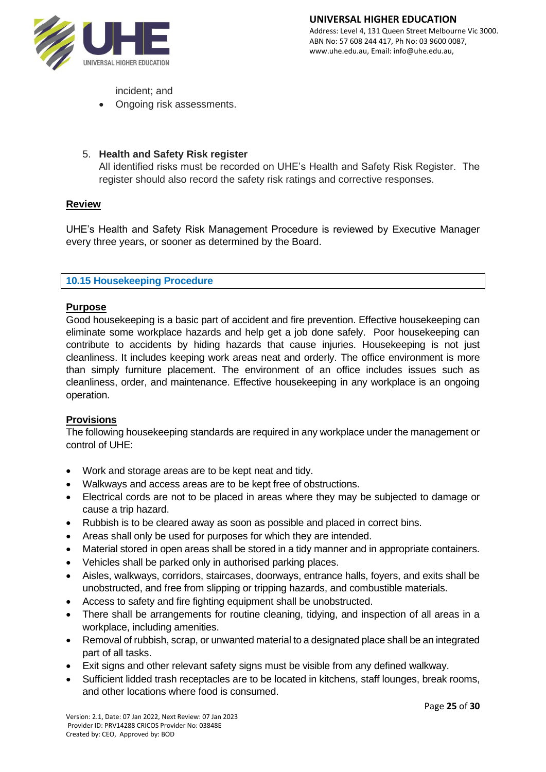

incident; and

• Ongoing risk assessments.

# 5. **Health and Safety Risk register**

All identified risks must be recorded on UHE's Health and Safety Risk Register. The register should also record the safety risk ratings and corrective responses.

# **Review**

UHE's Health and Safety Risk Management Procedure is reviewed by Executive Manager every three years, or sooner as determined by the Board.

## **10.15 Housekeeping Procedure**

# **Purpose**

Good housekeeping is a basic part of accident and fire prevention. Effective housekeeping can eliminate some workplace hazards and help get a job done safely. Poor housekeeping can contribute to accidents by hiding hazards that cause injuries. Housekeeping is not just cleanliness. It includes keeping work areas neat and orderly. The office environment is more than simply furniture placement. The environment of an office includes issues such as cleanliness, order, and maintenance. Effective housekeeping in any workplace is an ongoing operation.

## **Provisions**

The following housekeeping standards are required in any workplace under the management or control of UHE:

- Work and storage areas are to be kept neat and tidy.
- Walkways and access areas are to be kept free of obstructions.
- Electrical cords are not to be placed in areas where they may be subjected to damage or cause a trip hazard.
- Rubbish is to be cleared away as soon as possible and placed in correct bins.
- Areas shall only be used for purposes for which they are intended.
- Material stored in open areas shall be stored in a tidy manner and in appropriate containers.
- Vehicles shall be parked only in authorised parking places.
- Aisles, walkways, corridors, staircases, doorways, entrance halls, foyers, and exits shall be unobstructed, and free from slipping or tripping hazards, and combustible materials.
- Access to safety and fire fighting equipment shall be unobstructed.
- There shall be arrangements for routine cleaning, tidying, and inspection of all areas in a workplace, including amenities.
- Removal of rubbish, scrap, or unwanted material to a designated place shall be an integrated part of all tasks.
- Exit signs and other relevant safety signs must be visible from any defined walkway.
- Sufficient lidded trash receptacles are to be located in kitchens, staff lounges, break rooms, and other locations where food is consumed.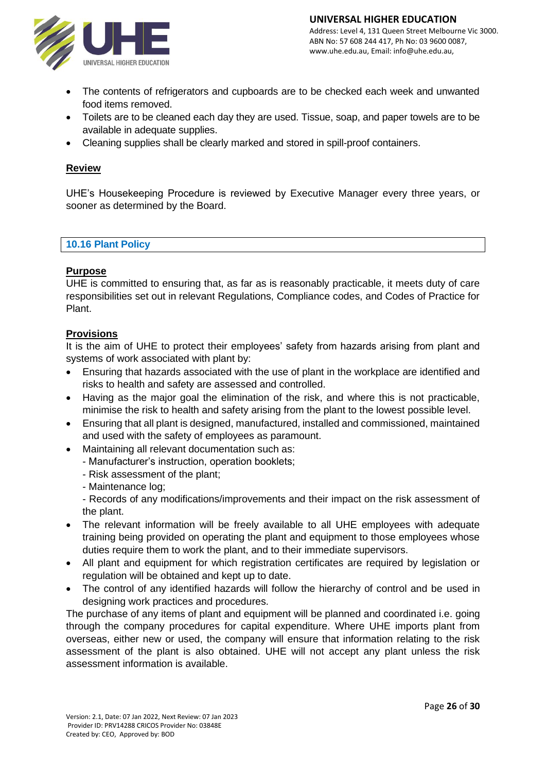

- The contents of refrigerators and cupboards are to be checked each week and unwanted food items removed.
- Toilets are to be cleaned each day they are used. Tissue, soap, and paper towels are to be available in adequate supplies.
- Cleaning supplies shall be clearly marked and stored in spill-proof containers.

# **Review**

UHE's Housekeeping Procedure is reviewed by Executive Manager every three years, or sooner as determined by the Board.

#### **10.16 Plant Policy**

## **Purpose**

UHE is committed to ensuring that, as far as is reasonably practicable, it meets duty of care responsibilities set out in relevant Regulations, Compliance codes, and Codes of Practice for Plant.

## **Provisions**

It is the aim of UHE to protect their employees' safety from hazards arising from plant and systems of work associated with plant by:

- Ensuring that hazards associated with the use of plant in the workplace are identified and risks to health and safety are assessed and controlled.
- Having as the major goal the elimination of the risk, and where this is not practicable, minimise the risk to health and safety arising from the plant to the lowest possible level.
- Ensuring that all plant is designed, manufactured, installed and commissioned, maintained and used with the safety of employees as paramount.
- Maintaining all relevant documentation such as:
	- Manufacturer's instruction, operation booklets;
	- Risk assessment of the plant;
	- Maintenance log;

- Records of any modifications/improvements and their impact on the risk assessment of the plant.

- The relevant information will be freely available to all UHE employees with adequate training being provided on operating the plant and equipment to those employees whose duties require them to work the plant, and to their immediate supervisors.
- All plant and equipment for which registration certificates are required by legislation or regulation will be obtained and kept up to date.
- The control of any identified hazards will follow the hierarchy of control and be used in designing work practices and procedures.

The purchase of any items of plant and equipment will be planned and coordinated i.e. going through the company procedures for capital expenditure. Where UHE imports plant from overseas, either new or used, the company will ensure that information relating to the risk assessment of the plant is also obtained. UHE will not accept any plant unless the risk assessment information is available.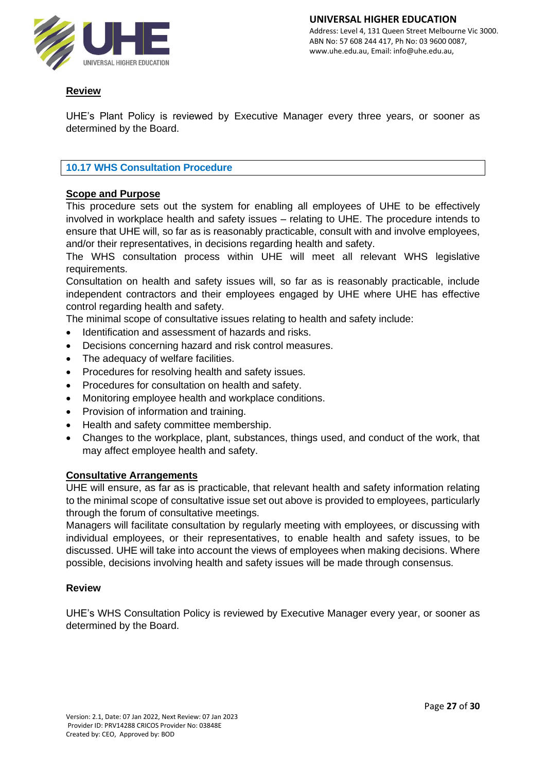

# **Review**

UHE's Plant Policy is reviewed by Executive Manager every three years, or sooner as determined by the Board.

# **10.17 WHS Consultation Procedure**

# **Scope and Purpose**

This procedure sets out the system for enabling all employees of UHE to be effectively involved in workplace health and safety issues – relating to UHE. The procedure intends to ensure that UHE will, so far as is reasonably practicable, consult with and involve employees, and/or their representatives, in decisions regarding health and safety.

The WHS consultation process within UHE will meet all relevant WHS legislative requirements.

Consultation on health and safety issues will, so far as is reasonably practicable, include independent contractors and their employees engaged by UHE where UHE has effective control regarding health and safety.

The minimal scope of consultative issues relating to health and safety include:

- Identification and assessment of hazards and risks.
- Decisions concerning hazard and risk control measures.
- The adequacy of welfare facilities.
- Procedures for resolving health and safety issues.
- Procedures for consultation on health and safety.
- Monitoring employee health and workplace conditions.
- Provision of information and training.
- Health and safety committee membership.
- Changes to the workplace, plant, substances, things used, and conduct of the work, that may affect employee health and safety.

#### **Consultative Arrangements**

UHE will ensure, as far as is practicable, that relevant health and safety information relating to the minimal scope of consultative issue set out above is provided to employees, particularly through the forum of consultative meetings.

Managers will facilitate consultation by regularly meeting with employees, or discussing with individual employees, or their representatives, to enable health and safety issues, to be discussed. UHE will take into account the views of employees when making decisions. Where possible, decisions involving health and safety issues will be made through consensus.

## **Review**

UHE's WHS Consultation Policy is reviewed by Executive Manager every year, or sooner as determined by the Board.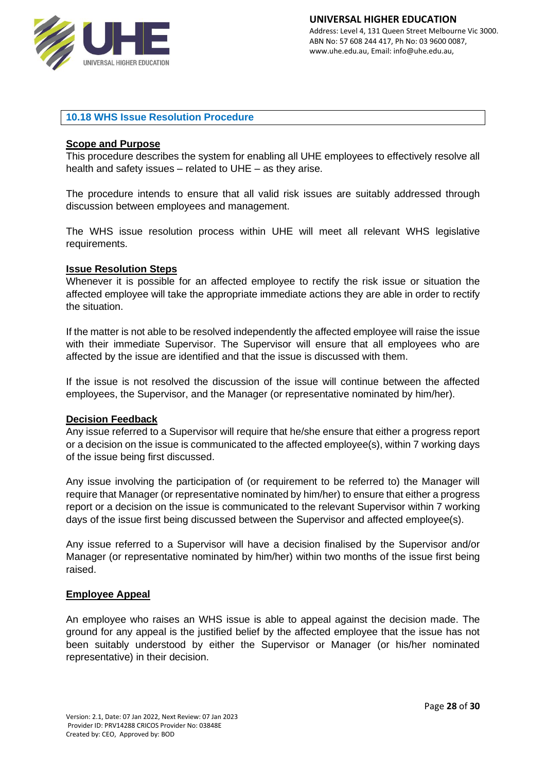

## **10.18 WHS Issue Resolution Procedure**

#### **Scope and Purpose**

This procedure describes the system for enabling all UHE employees to effectively resolve all health and safety issues – related to UHE – as they arise.

The procedure intends to ensure that all valid risk issues are suitably addressed through discussion between employees and management.

The WHS issue resolution process within UHE will meet all relevant WHS legislative requirements.

## **Issue Resolution Steps**

Whenever it is possible for an affected employee to rectify the risk issue or situation the affected employee will take the appropriate immediate actions they are able in order to rectify the situation.

If the matter is not able to be resolved independently the affected employee will raise the issue with their immediate Supervisor. The Supervisor will ensure that all employees who are affected by the issue are identified and that the issue is discussed with them.

If the issue is not resolved the discussion of the issue will continue between the affected employees, the Supervisor, and the Manager (or representative nominated by him/her).

#### **Decision Feedback**

Any issue referred to a Supervisor will require that he/she ensure that either a progress report or a decision on the issue is communicated to the affected employee(s), within 7 working days of the issue being first discussed.

Any issue involving the participation of (or requirement to be referred to) the Manager will require that Manager (or representative nominated by him/her) to ensure that either a progress report or a decision on the issue is communicated to the relevant Supervisor within 7 working days of the issue first being discussed between the Supervisor and affected employee(s).

Any issue referred to a Supervisor will have a decision finalised by the Supervisor and/or Manager (or representative nominated by him/her) within two months of the issue first being raised.

## **Employee Appeal**

An employee who raises an WHS issue is able to appeal against the decision made. The ground for any appeal is the justified belief by the affected employee that the issue has not been suitably understood by either the Supervisor or Manager (or his/her nominated representative) in their decision.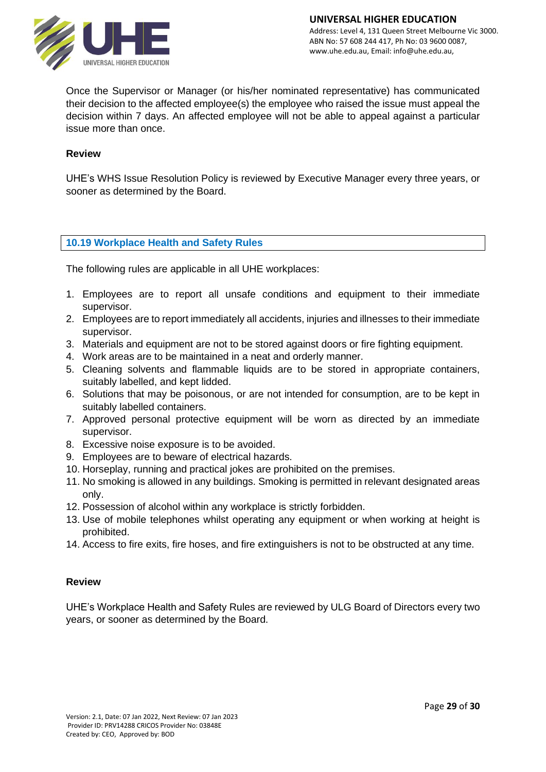

Once the Supervisor or Manager (or his/her nominated representative) has communicated their decision to the affected employee(s) the employee who raised the issue must appeal the decision within 7 days. An affected employee will not be able to appeal against a particular issue more than once.

## **Review**

UHE's WHS Issue Resolution Policy is reviewed by Executive Manager every three years, or sooner as determined by the Board.

## **10.19 Workplace Health and Safety Rules**

The following rules are applicable in all UHE workplaces:

- 1. Employees are to report all unsafe conditions and equipment to their immediate supervisor.
- 2. Employees are to report immediately all accidents, injuries and illnesses to their immediate supervisor.
- 3. Materials and equipment are not to be stored against doors or fire fighting equipment.
- 4. Work areas are to be maintained in a neat and orderly manner.
- 5. Cleaning solvents and flammable liquids are to be stored in appropriate containers, suitably labelled, and kept lidded.
- 6. Solutions that may be poisonous, or are not intended for consumption, are to be kept in suitably labelled containers.
- 7. Approved personal protective equipment will be worn as directed by an immediate supervisor.
- 8. Excessive noise exposure is to be avoided.
- 9. Employees are to beware of electrical hazards.
- 10. Horseplay, running and practical jokes are prohibited on the premises.
- 11. No smoking is allowed in any buildings. Smoking is permitted in relevant designated areas only.
- 12. Possession of alcohol within any workplace is strictly forbidden.
- 13. Use of mobile telephones whilst operating any equipment or when working at height is prohibited.
- 14. Access to fire exits, fire hoses, and fire extinguishers is not to be obstructed at any time.

## **Review**

UHE's Workplace Health and Safety Rules are reviewed by ULG Board of Directors every two years, or sooner as determined by the Board.